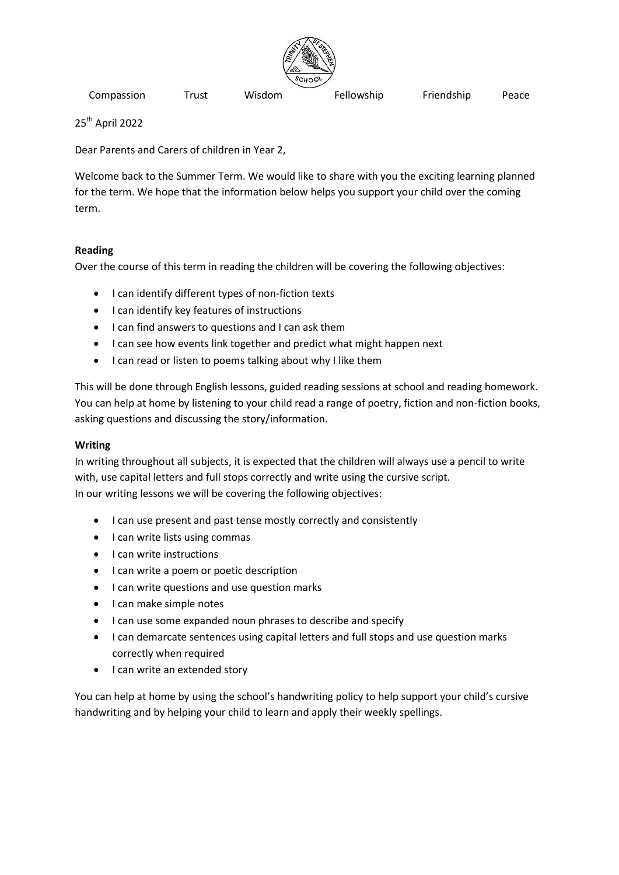

25th April 2022

Dear Parents and Carers of children in Year 2,

Welcome back to the Summer Term. We would like to share with you the exciting learning planned for the term. We hope that the information below helps you support your child over the coming term.

# **Reading**

Over the course of this term in reading the children will be covering the following objectives:

- I can identify different types of non-fiction texts
- I can identify key features of instructions
- I can find answers to questions and I can ask them
- I can see how events link together and predict what might happen next
- I can read or listen to poems talking about why I like them

This will be done through English lessons, guided reading sessions at school and reading homework. You can help at home by listening to your child read a range of poetry, fiction and non-fiction books, asking questions and discussing the story/information.

## **Writing**

In writing throughout all subjects, it is expected that the children will always use a pencil to write with, use capital letters and full stops correctly and write using the cursive script. In our writing lessons we will be covering the following objectives:

- I can use present and past tense mostly correctly and consistently
- I can write lists using commas
- I can write instructions
- I can write a poem or poetic description
- I can write questions and use question marks
- I can make simple notes
- I can use some expanded noun phrases to describe and specify
- I can demarcate sentences using capital letters and full stops and use question marks correctly when required
- I can write an extended story

You can help at home by using the school's handwriting policy to help support your child's cursive handwriting and by helping your child to learn and apply their weekly spellings.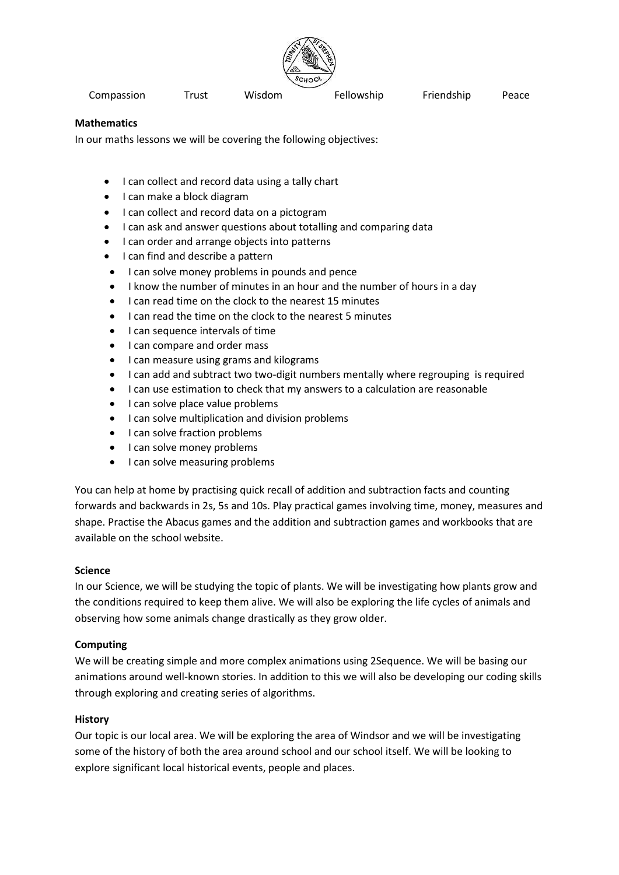

#### **Mathematics**

In our maths lessons we will be covering the following objectives:

- I can collect and record data using a tally chart
- I can make a block diagram
- I can collect and record data on a pictogram
- I can ask and answer questions about totalling and comparing data
- **I can order and arrange objects into patterns**
- I can find and describe a pattern
- I can solve money problems in pounds and pence
- I know the number of minutes in an hour and the number of hours in a day
- I can read time on the clock to the nearest 15 minutes
- I can read the time on the clock to the nearest 5 minutes
- I can sequence intervals of time
- I can compare and order mass
- I can measure using grams and kilograms
- I can add and subtract two two-digit numbers mentally where regrouping is required
- I can use estimation to check that my answers to a calculation are reasonable
- I can solve place value problems
- I can solve multiplication and division problems
- I can solve fraction problems
- I can solve money problems
- I can solve measuring problems

You can help at home by practising quick recall of addition and subtraction facts and counting forwards and backwards in 2s, 5s and 10s. Play practical games involving time, money, measures and shape. Practise the Abacus games and the addition and subtraction games and workbooks that are available on the school website.

#### **Science**

In our Science, we will be studying the topic of plants. We will be investigating how plants grow and the conditions required to keep them alive. We will also be exploring the life cycles of animals and observing how some animals change drastically as they grow older.

#### **Computing**

We will be creating simple and more complex animations using 2Sequence. We will be basing our animations around well-known stories. In addition to this we will also be developing our coding skills through exploring and creating series of algorithms.

#### **History**

Our topic is our local area. We will be exploring the area of Windsor and we will be investigating some of the history of both the area around school and our school itself. We will be looking to explore significant local historical events, people and places.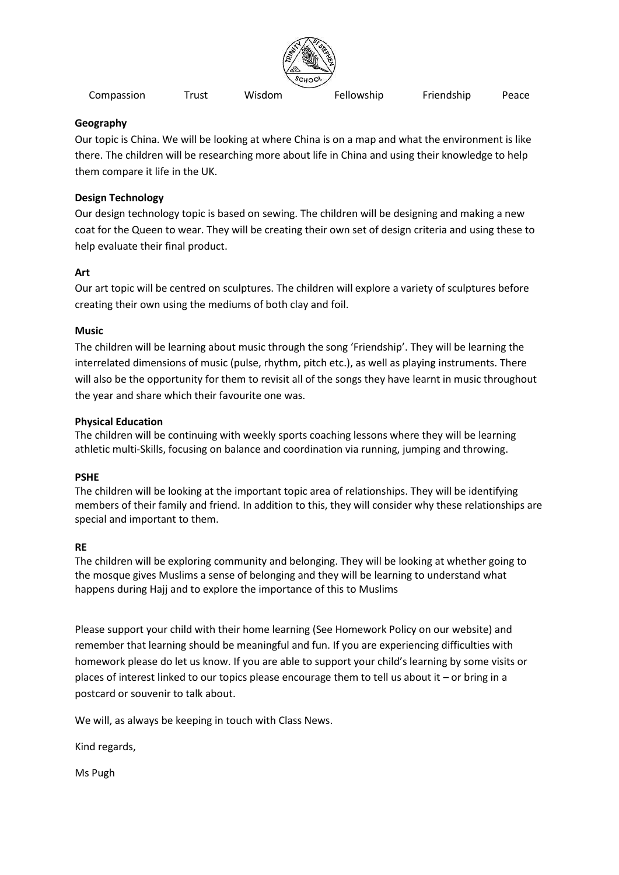

## **Geography**

Our topic is China. We will be looking at where China is on a map and what the environment is like there. The children will be researching more about life in China and using their knowledge to help them compare it life in the UK.

# **Design Technology**

Our design technology topic is based on sewing. The children will be designing and making a new coat for the Queen to wear. They will be creating their own set of design criteria and using these to help evaluate their final product.

# **Art**

Our art topic will be centred on sculptures. The children will explore a variety of sculptures before creating their own using the mediums of both clay and foil.

## **Music**

The children will be learning about music through the song 'Friendship'. They will be learning the interrelated dimensions of music (pulse, rhythm, pitch etc.), as well as playing instruments. There will also be the opportunity for them to revisit all of the songs they have learnt in music throughout the year and share which their favourite one was.

## **Physical Education**

The children will be continuing with weekly sports coaching lessons where they will be learning athletic multi-Skills, focusing on balance and coordination via running, jumping and throwing.

## **PSHE**

The children will be looking at the important topic area of relationships. They will be identifying members of their family and friend. In addition to this, they will consider why these relationships are special and important to them.

# **RE**

The children will be exploring community and belonging. They will be looking at whether going to the mosque gives Muslims a sense of belonging and they will be learning to understand what happens during Hajj and to explore the importance of this to Muslims

Please support your child with their home learning (See Homework Policy on our website) and remember that learning should be meaningful and fun. If you are experiencing difficulties with homework please do let us know. If you are able to support your child's learning by some visits or places of interest linked to our topics please encourage them to tell us about it – or bring in a postcard or souvenir to talk about.

We will, as always be keeping in touch with Class News.

Kind regards,

Ms Pugh